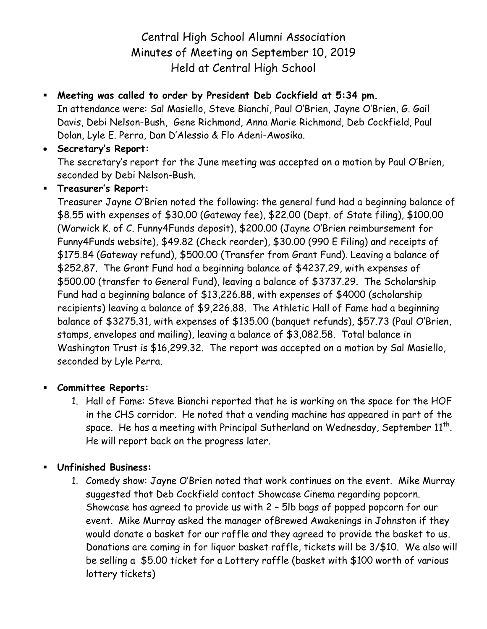# Central High School Alumni Association Minutes of Meeting on September 10, 2019 Held at Central High School

# **Meeting was called to order by President Deb Cockfield at 5:34 pm.**

In attendance were: Sal Masiello, Steve Bianchi, Paul O'Brien, Jayne O'Brien, G. Gail Davis, Debi Nelson-Bush, Gene Richmond, Anna Marie Richmond, Deb Cockfield, Paul Dolan, Lyle E. Perra, Dan D'Alessio & Flo Adeni-Awosika.

### **Secretary's Report:**

The secretary's report for the June meeting was accepted on a motion by Paul O'Brien, seconded by Debi Nelson-Bush.

## **Treasurer's Report:**

Treasurer Jayne O'Brien noted the following: the general fund had a beginning balance of \$8.55 with expenses of \$30.00 (Gateway fee), \$22.00 (Dept. of State filing), \$100.00 (Warwick K. of C. Funny4Funds deposit), \$200.00 (Jayne O'Brien reimbursement for Funny4Funds website), \$49.82 (Check reorder), \$30.00 (990 E Filing) and receipts of \$175.84 (Gateway refund), \$500.00 (Transfer from Grant Fund). Leaving a balance of \$252.87. The Grant Fund had a beginning balance of \$4237.29, with expenses of \$500.00 (transfer to General Fund), leaving a balance of \$3737.29. The Scholarship Fund had a beginning balance of \$13,226.88, with expenses of \$4000 (scholarship recipients) leaving a balance of \$9,226.88. The Athletic Hall of Fame had a beginning balance of \$3275.31, with expenses of \$135.00 (banquet refunds), \$57.73 (Paul O'Brien, stamps, envelopes and mailing), leaving a balance of \$3,082.58. Total balance in Washington Trust is \$16,299.32. The report was accepted on a motion by Sal Masiello, seconded by Lyle Perra.

#### **Committee Reports:**

1. Hall of Fame: Steve Bianchi reported that he is working on the space for the HOF in the CHS corridor. He noted that a vending machine has appeared in part of the space. He has a meeting with Principal Sutherland on Wednesday, September  $11^{\sf th}$ . He will report back on the progress later.

# **Unfinished Business:**

1. Comedy show: Jayne O'Brien noted that work continues on the event. Mike Murray suggested that Deb Cockfield contact Showcase Cinema regarding popcorn. Showcase has agreed to provide us with 2 – 5lb bags of popped popcorn for our event. Mike Murray asked the manager ofBrewed Awakenings in Johnston if they would donate a basket for our raffle and they agreed to provide the basket to us. Donations are coming in for liquor basket raffle, tickets will be 3/\$10. We also will be selling a \$5.00 ticket for a Lottery raffle (basket with \$100 worth of various lottery tickets)